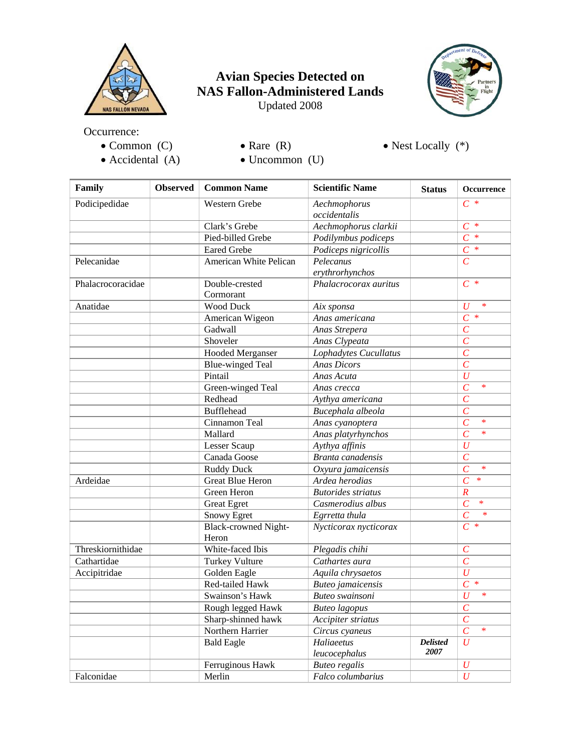

## **Avian Species Detected on NAS Fallon-Administered Lands**  Updated 2008



Occurrence:

- Common (C)
- Rare  $(R)$

• Nest Locally  $(*)$ 

- Accidental (A)
- Uncommon (U)

| Family            | <b>Observed</b> | <b>Common Name</b>                   | <b>Scientific Name</b>       | <b>Status</b>           | <b>Occurrence</b>        |
|-------------------|-----------------|--------------------------------------|------------------------------|-------------------------|--------------------------|
| Podicipedidae     |                 | <b>Western Grebe</b>                 | Aechmophorus<br>occidentalis |                         | $C^*$                    |
|                   |                 | Clark's Grebe                        | Aechmophorus clarkii         |                         | $C^*$                    |
|                   |                 | Pied-billed Grebe                    | Podilymbus podiceps          |                         | $\overline{C}$<br>$\ast$ |
|                   |                 | <b>Eared Grebe</b>                   | Podiceps nigricollis         |                         | $\overline{C}$ *         |
| Pelecanidae       |                 | American White Pelican               | Pelecanus                    |                         | $\overline{C}$           |
|                   |                 |                                      | erythrorhynchos              |                         |                          |
| Phalacrocoracidae |                 | Double-crested<br>Cormorant          | Phalacrocorax auritus        |                         | $C^*$                    |
| Anatidae          |                 | <b>Wood Duck</b>                     | Aix sponsa                   |                         | $\overline{U}$<br>$\ast$ |
|                   |                 | American Wigeon                      | Anas americana               |                         | $\overline{C}$<br>$\ast$ |
|                   |                 | Gadwall                              | Anas Strepera                |                         | $\overline{C}$           |
|                   |                 | Shoveler                             | Anas Clypeata                |                         | $\overline{C}$           |
|                   |                 | <b>Hooded Merganser</b>              | Lophadytes Cucullatus        |                         | $\overline{C}$           |
|                   |                 | <b>Blue-winged Teal</b>              | <b>Anas Dicors</b>           |                         | $\overline{C}$           |
|                   |                 | Pintail                              | Anas Acuta                   |                         | $\overline{U}$           |
|                   |                 | Green-winged Teal                    | Anas crecca                  |                         | $\overline{c}$<br>$\ast$ |
|                   |                 | Redhead                              | Aythya americana             |                         | $\overline{C}$           |
|                   |                 | <b>Bufflehead</b>                    | Bucephala albeola            |                         | $\overline{C}$           |
|                   |                 | Cinnamon Teal                        | Anas cyanoptera              |                         | $\overline{C}$<br>$\ast$ |
|                   |                 | Mallard                              | Anas platyrhynchos           |                         | $\overline{C}$<br>$\ast$ |
|                   |                 | Lesser Scaup                         | Aythya affinis               |                         | $\overline{U}$           |
|                   |                 | Canada Goose                         | Branta canadensis            |                         | $\overline{C}$           |
|                   |                 | <b>Ruddy Duck</b>                    | Oxyura jamaicensis           |                         | $\overline{C}$<br>$\ast$ |
| Ardeidae          |                 | <b>Great Blue Heron</b>              | Ardea herodias               |                         | $\overline{C}$<br>$\ast$ |
|                   |                 | Green Heron                          | <b>Butorides</b> striatus    |                         | $\boldsymbol{R}$         |
|                   |                 | <b>Great Egret</b>                   | Casmerodius albus            |                         | $\overline{C}$<br>$\ast$ |
|                   |                 | Snowy Egret                          | Egrretta thula               |                         | $\overline{C}$<br>$\ast$ |
|                   |                 | <b>Black-crowned Night-</b><br>Heron | Nycticorax nycticorax        |                         | $\overline{C}$ *         |
| Threskiornithidae |                 | White-faced Ibis                     | Plegadis chihi               |                         | $\mathcal{C}_{0}^{0}$    |
| Cathartidae       |                 | <b>Turkey Vulture</b>                | Cathartes aura               |                         | $\overline{C}$           |
| Accipitridae      |                 | Golden Eagle                         | Aquila chrysaetos            |                         | $\overline{U}$           |
|                   |                 | Red-tailed Hawk                      | Buteo jamaicensis            |                         | $\overline{C}$<br>$\ast$ |
|                   |                 | Swainson's Hawk                      | Buteo swainsoni              |                         | $\overline{U}$<br>$\ast$ |
|                   |                 | Rough legged Hawk                    | <b>Buteo</b> lagopus         |                         | $\boldsymbol{C}$         |
|                   |                 | Sharp-shinned hawk                   | Accipiter striatus           |                         | $\overline{C}$           |
|                   |                 | Northern Harrier                     | Circus cyaneus               |                         | $\overline{C}$<br>$\ast$ |
|                   |                 | <b>Bald Eagle</b>                    | Haliaeetus<br>leucocephalus  | <b>Delisted</b><br>2007 | $\boldsymbol{U}$         |
|                   |                 | Ferruginous Hawk                     | <b>Buteo regalis</b>         |                         | $\boldsymbol{U}$         |
| Falconidae        |                 | Merlin                               | Falco columbarius            |                         | $\overline{U}$           |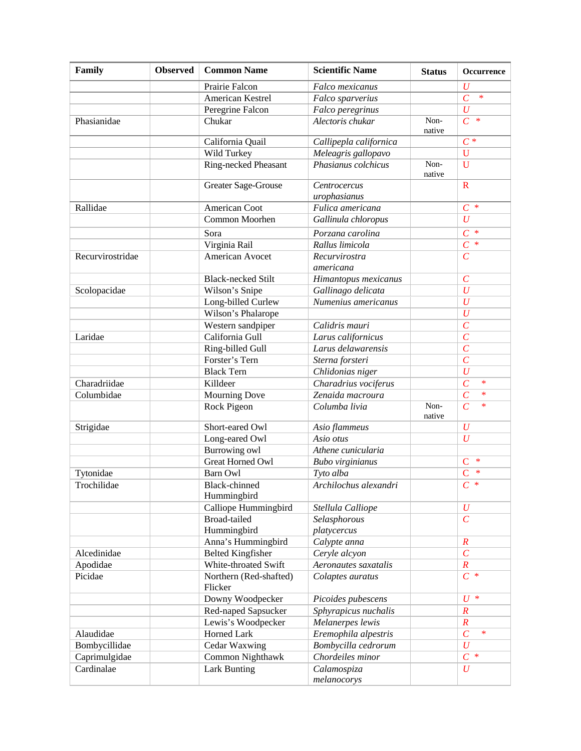| Family           | <b>Observed</b> | <b>Common Name</b>                | <b>Scientific Name</b>       | <b>Status</b>  | Occurrence               |
|------------------|-----------------|-----------------------------------|------------------------------|----------------|--------------------------|
|                  |                 | Prairie Falcon                    | Falco mexicanus              |                | $\boldsymbol{U}$         |
|                  |                 | American Kestrel                  | Falco sparverius             |                | $\overline{C}$<br>$\ast$ |
|                  |                 | Peregrine Falcon                  | Falco peregrinus             |                | $\boldsymbol{U}$         |
| Phasianidae      |                 | Chukar                            | Alectoris chukar             | Non-<br>native | $\ast$<br>$\overline{C}$ |
|                  |                 | California Quail                  | Callipepla californica       |                | $C^*$                    |
|                  |                 | Wild Turkey                       | Meleagris gallopavo          |                | U                        |
|                  |                 | Ring-necked Pheasant              | Phasianus colchicus          | Non-<br>native | $\overline{U}$           |
|                  |                 | Greater Sage-Grouse               | Centrocercus<br>urophasianus |                | $\mathbf R$              |
| Rallidae         |                 | American Coot                     | Fulica americana             |                | $C^*$                    |
|                  |                 | Common Moorhen                    | Gallinula chloropus          |                | $\boldsymbol{U}$         |
|                  |                 | Sora                              | Porzana carolina             |                | $\overline{C}$<br>$\ast$ |
|                  |                 | Virginia Rail                     | Rallus limicola              |                | $C^*$                    |
| Recurvirostridae |                 | American Avocet                   | Recurvirostra                |                | $\mathcal{C}$            |
|                  |                 |                                   | americana                    |                |                          |
|                  |                 | <b>Black-necked Stilt</b>         | Himantopus mexicanus         |                | $\mathcal{C}_{0}^{0}$    |
| Scolopacidae     |                 | Wilson's Snipe                    | Gallinago delicata           |                | $\boldsymbol{U}$         |
|                  |                 | Long-billed Curlew                | Numenius americanus          |                | $\boldsymbol{U}$         |
|                  |                 | Wilson's Phalarope                |                              |                | $\boldsymbol{U}$         |
|                  |                 | Western sandpiper                 | Calidris mauri               |                | $\mathcal{C}_{0}^{0}$    |
| Laridae          |                 | California Gull                   | Larus californicus           |                | $\overline{C}$           |
|                  |                 | Ring-billed Gull                  | Larus delawarensis           |                | $\overline{C}$           |
|                  |                 | Forster's Tern                    | Sterna forsteri              |                | $\overline{C}$           |
|                  |                 | <b>Black Tern</b>                 | Chlidonias niger             |                | $\overline{U}$           |
| Charadriidae     |                 | Killdeer                          | Charadrius vociferus         |                | $\overline{C}$<br>$\ast$ |
| Columbidae       |                 | <b>Mourning Dove</b>              | Zenaida macroura             |                | $\overline{C}$<br>$\ast$ |
|                  |                 | Rock Pigeon                       | Columba livia                | Non-<br>native | $\overline{C}$<br>$\ast$ |
| Strigidae        |                 | Short-eared Owl                   | Asio flammeus                |                | $\boldsymbol{U}$         |
|                  |                 | Long-eared Owl                    | Asio otus                    |                | $\boldsymbol{U}$         |
|                  |                 | Burrowing owl                     | Athene cunicularia           |                |                          |
|                  |                 | Great Horned Owl                  | <b>Bubo</b> virginianus      |                | $\ast$<br>$\mathbf C$    |
| Tytonidae        |                 | <b>Barn Owl</b>                   | Tyto alba                    |                | $\overline{C}$<br>$\ast$ |
| Trochilidae      |                 | Black-chinned<br>Hummingbird      | Archilochus alexandri        |                | $C^*$                    |
|                  |                 | Calliope Hummingbird              | Stellula Calliope            |                | $\boldsymbol{U}$         |
|                  |                 | Broad-tailed                      | Selasphorous                 |                | $\mathcal{C}_{0}^{(n)}$  |
|                  |                 | Hummingbird                       | platycercus                  |                |                          |
|                  |                 | Anna's Hummingbird                | Calypte anna                 |                | $\boldsymbol{R}$         |
| Alcedinidae      |                 | <b>Belted Kingfisher</b>          | Ceryle alcyon                |                | $\mathcal{C}_{0}^{(n)}$  |
| Apodidae         |                 | White-throated Swift              | Aeronautes saxatalis         |                | $\boldsymbol{R}$         |
| Picidae          |                 | Northern (Red-shafted)<br>Flicker | Colaptes auratus             |                | $C^*$                    |
|                  |                 | Downy Woodpecker                  | Picoides pubescens           |                | $U^*$                    |
|                  |                 | Red-naped Sapsucker               | Sphyrapicus nuchalis         |                | $\boldsymbol{R}$         |
|                  |                 | Lewis's Woodpecker                | Melanerpes lewis             |                | $\boldsymbol{R}$         |
| Alaudidae        |                 | Horned Lark                       | Eremophila alpestris         |                | $\overline{C}$<br>$\ast$ |
| Bombycillidae    |                 | Cedar Waxwing                     | Bombycilla cedrorum          |                | $\boldsymbol{U}$         |
| Caprimulgidae    |                 | Common Nighthawk                  | Chordeiles minor             |                | $C^*$                    |
| Cardinalae       |                 | <b>Lark Bunting</b>               | Calamospiza<br>melanocorys   |                | U                        |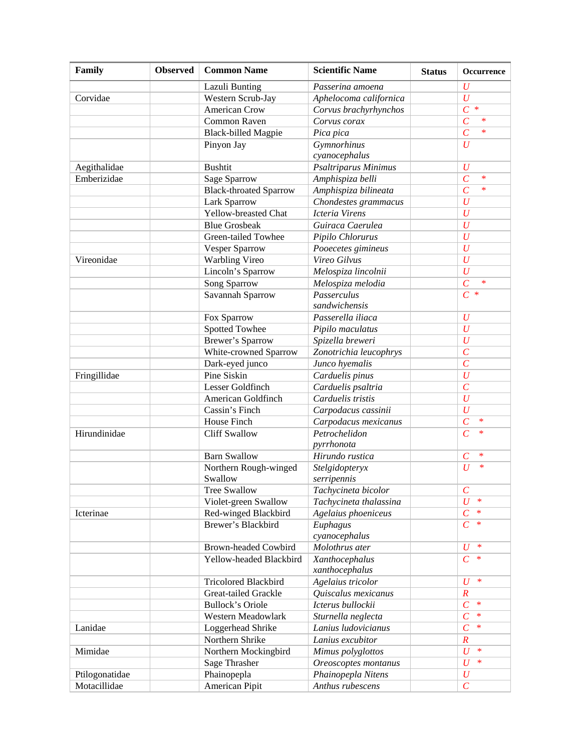| Family         | <b>Observed</b> | <b>Common Name</b>            | <b>Scientific Name</b> | <b>Status</b> | Occurrence                   |
|----------------|-----------------|-------------------------------|------------------------|---------------|------------------------------|
|                |                 | Lazuli Bunting                | Passerina amoena       |               | $\boldsymbol{U}$             |
| Corvidae       |                 | Western Scrub-Jay             | Aphelocoma californica |               | $\boldsymbol{U}$             |
|                |                 | <b>American Crow</b>          | Corvus brachyrhynchos  |               | $\overline{C}$<br>$\ast$     |
|                |                 | Common Raven                  | Corvus corax           |               | $\overline{C}$<br>$\ast$     |
|                |                 | <b>Black-billed Magpie</b>    | Pica pica              |               | $\overline{C}$<br>$\ast$     |
|                |                 | Pinyon Jay                    | Gymnorhinus            |               | $\boldsymbol{U}$             |
|                |                 |                               | cyanocephalus          |               |                              |
| Aegithalidae   |                 | <b>Bushtit</b>                | Psaltriparus Minimus   |               | $\overline{U}$               |
| Emberizidae    |                 | Sage Sparrow                  | Amphispiza belli       |               | $\overline{C}$<br>$\ast$     |
|                |                 | <b>Black-throated Sparrow</b> | Amphispiza bilineata   |               | $\overline{C}$<br>$\ast$     |
|                |                 | Lark Sparrow                  | Chondestes grammacus   |               | $\boldsymbol{U}$             |
|                |                 | Yellow-breasted Chat          | <b>Icteria Virens</b>  |               | $\overline{U}$               |
|                |                 | <b>Blue Grosbeak</b>          | Guiraca Caerulea       |               | $\overline{U}$               |
|                |                 | Green-tailed Towhee           | Pipilo Chlorurus       |               | $\overline{U}$               |
|                |                 | Vesper Sparrow                | Pooecetes gimineus     |               | $\overline{U}$               |
| Vireonidae     |                 | <b>Warbling Vireo</b>         | Vireo Gilvus           |               | $\overline{U}$               |
|                |                 | Lincoln's Sparrow             | Melospiza lincolnii    |               | $\overline{U}$               |
|                |                 | Song Sparrow                  | Melospiza melodia      |               | $\overline{C}$<br>$\ast$     |
|                |                 | Savannah Sparrow              | Passerculus            |               | $\overline{C}$<br>$\ast$     |
|                |                 |                               | sandwichensis          |               |                              |
|                |                 | Fox Sparrow                   | Passerella iliaca      |               | $\overline{U}$               |
|                |                 | Spotted Towhee                | Pipilo maculatus       |               | $\overline{U}$               |
|                |                 | <b>Brewer's Sparrow</b>       | Spizella breweri       |               | $\overline{U}$               |
|                |                 | White-crowned Sparrow         | Zonotrichia leucophrys |               | $\overline{C}$               |
|                |                 | Dark-eyed junco               | Junco hyemalis         |               | $\overline{C}$               |
| Fringillidae   |                 | Pine Siskin                   | Carduelis pinus        |               | $\overline{U}$               |
|                |                 | Lesser Goldfinch              | Carduelis psaltria     |               | $\overline{C}$               |
|                |                 | American Goldfinch            | Carduelis tristis      |               | $\overline{U}$               |
|                |                 | Cassin's Finch                | Carpodacus cassinii    |               | $\boldsymbol{U}$             |
|                |                 | House Finch                   | Carpodacus mexicanus   |               | $\overline{C}$<br>$\ast$     |
| Hirundinidae   |                 | <b>Cliff Swallow</b>          | Petrochelidon          |               | $\overline{C}$<br>$\ast$     |
|                |                 |                               | pyrrhonota             |               |                              |
|                |                 | <b>Barn Swallow</b>           | Hirundo rustica        |               | $\mathcal{C}_{0}^{(n)}$<br>* |
|                |                 | Northern Rough-winged         | Stelgidopteryx         |               | $\overline{U}$<br>$\ast$     |
|                |                 | Swallow                       | serripennis            |               |                              |
|                |                 | <b>Tree Swallow</b>           | Tachycineta bicolor    |               | $\boldsymbol{C}$             |
|                |                 | Violet-green Swallow          | Tachycineta thalassina |               | $\overline{U}$<br>$\ast$     |
| Icterinae      |                 | Red-winged Blackbird          | Agelaius phoeniceus    |               | $\overline{C}$<br>*          |
|                |                 | Brewer's Blackbird            | Euphagus               |               | $\overline{C}$<br>$\ast$     |
|                |                 |                               | cyanocephalus          |               |                              |
|                |                 | <b>Brown-headed Cowbird</b>   | Molothrus ater         |               | $\boldsymbol{U}$<br>$\ast$   |
|                |                 | Yellow-headed Blackbird       | Xanthocephalus         |               | $\overline{C}$<br>$\ast$     |
|                |                 |                               | xanthocephalus         |               |                              |
|                |                 | Tricolored Blackbird          | Agelaius tricolor      |               | $\boldsymbol{U}$<br>$\ast$   |
|                |                 | Great-tailed Grackle          | Quiscalus mexicanus    |               | $\boldsymbol{R}$             |
|                |                 | <b>Bullock's Oriole</b>       | Icterus bullockii      |               | $\overline{C}$<br>$\ast$     |
|                |                 | Western Meadowlark            | Sturnella neglecta     |               | $\overline{C}$<br>$\ast$     |
| Lanidae        |                 | Loggerhead Shrike             | Lanius ludovicianus    |               | $\overline{C}$<br>$\ast$     |
|                |                 | Northern Shrike               | Lanius excubitor       |               | $\overline{R}$               |
| Mimidae        |                 | Northern Mockingbird          | Mimus polyglottos      |               | $\ast$<br>$\boldsymbol{U}$   |
|                |                 | Sage Thrasher                 | Oreoscoptes montanus   |               | $\overline{U}$<br>$\ast$     |
| Ptilogonatidae |                 | Phainopepla                   | Phainopepla Nitens     |               | $\boldsymbol{U}$             |
| Motacillidae   |                 | American Pipit                | Anthus rubescens       |               | $\overline{C}$               |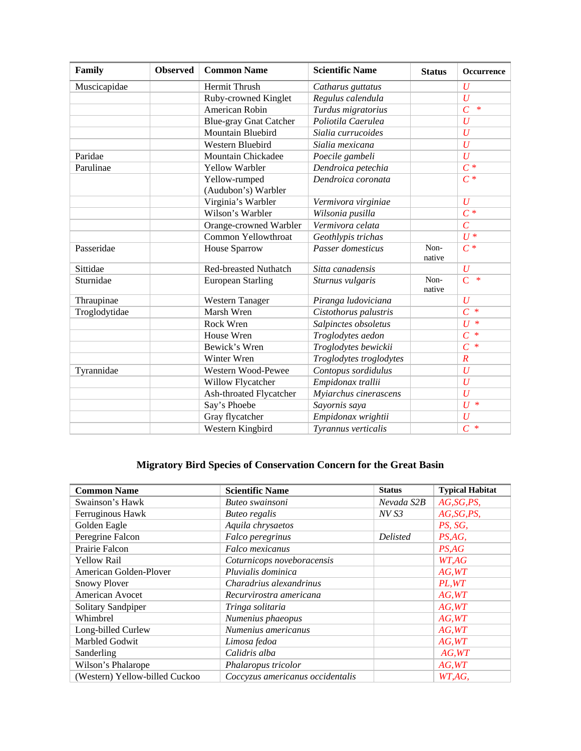| Family        | <b>Observed</b> | <b>Common Name</b>            | <b>Scientific Name</b>  | <b>Status</b>  | Occurrence               |
|---------------|-----------------|-------------------------------|-------------------------|----------------|--------------------------|
| Muscicapidae  |                 | Hermit Thrush                 | Catharus guttatus       |                | U                        |
|               |                 | Ruby-crowned Kinglet          | Regulus calendula       |                | $\overline{U}$           |
|               |                 | American Robin                | Turdus migratorius      |                | $\overline{C}$<br>$\ast$ |
|               |                 | <b>Blue-gray Gnat Catcher</b> | Poliotila Caerulea      |                | $\overline{U}$           |
|               |                 | Mountain Bluebird             | Sialia currucoides      |                | $\boldsymbol{U}$         |
|               |                 | Western Bluebird              | Sialia mexicana         |                | $\overline{U}$           |
| Paridae       |                 | Mountain Chickadee            | Poecile gambeli         |                | $\overline{U}$           |
| Parulinae     |                 | <b>Yellow Warbler</b>         | Dendroica petechia      |                | $C^*$                    |
|               |                 | Yellow-rumped                 | Dendroica coronata      |                | $C^*$                    |
|               |                 | (Audubon's) Warbler           |                         |                |                          |
|               |                 | Virginia's Warbler            | Vermivora virginiae     |                | $\boldsymbol{U}$         |
|               |                 | Wilson's Warbler              | Wilsonia pusilla        |                | $\overline{C^*}$         |
|               |                 | Orange-crowned Warbler        | Vermivora celata        |                | $\overline{C}$           |
|               |                 | Common Yellowthroat           | Geothlypis trichas      |                | $U^*$                    |
| Passeridae    |                 | House Sparrow                 | Passer domesticus       | Non-<br>native | $C^*$                    |
| Sittidae      |                 | <b>Red-breasted Nuthatch</b>  | Sitta canadensis        |                | $\boldsymbol{U}$         |
| Sturnidae     |                 | <b>European Starling</b>      | Sturnus vulgaris        | Non-<br>native | $\overline{C}$<br>$\ast$ |
| Thraupinae    |                 | Western Tanager               | Piranga ludoviciana     |                | $\boldsymbol{U}$         |
| Troglodytidae |                 | Marsh Wren                    | Cistothorus palustris   |                | $C^*$                    |
|               |                 | Rock Wren                     | Salpinctes obsoletus    |                | $\ast$<br>$\overline{U}$ |
|               |                 | House Wren                    | Troglodytes aedon       |                | $\ast$<br>$\overline{C}$ |
|               |                 | Bewick's Wren                 | Troglodytes bewickii    |                | $\overline{C}$<br>$\ast$ |
|               |                 | Winter Wren                   | Troglodytes troglodytes |                | $\overline{R}$           |
| Tyrannidae    |                 | Western Wood-Pewee            | Contopus sordidulus     |                | $\boldsymbol{U}$         |
|               |                 | <b>Willow Flycatcher</b>      | Empidonax trallii       |                | $\boldsymbol{U}$         |
|               |                 | Ash-throated Flycatcher       | Myiarchus cinerascens   |                | $\overline{U}$           |
|               |                 | Say's Phoebe                  | Sayornis saya           |                | $U^*$                    |
|               |                 | Gray flycatcher               | Empidonax wrightii      |                | U                        |
|               |                 | Western Kingbird              | Tyrannus verticalis     |                | $\overline{C}$<br>$\ast$ |

## **Migratory Bird Species of Conservation Concern for the Great Basin**

| <b>Common Name</b>             | <b>Scientific Name</b>           | <b>Status</b>   | <b>Typical Habitat</b> |
|--------------------------------|----------------------------------|-----------------|------------------------|
| Swainson's Hawk                | Buteo swainsoni                  | Nevada S2B      | AG,SG, PS,             |
| Ferruginous Hawk               | <b>Buteo regalis</b>             | NV S3           | AG,SG, PS,             |
| Golden Eagle                   | Aquila chrysaetos                |                 | PS, SG,                |
| Peregrine Falcon               | Falco peregrinus                 | <b>Delisted</b> | PS, AG,                |
| Prairie Falcon                 | Falco mexicanus                  |                 | PS, AG                 |
| <b>Yellow Rail</b>             | Coturnicops noveboracensis       |                 | WT,AG                  |
| American Golden-Plover         | Pluvialis dominica               |                 | AG, WT                 |
| <b>Snowy Plover</b>            | Charadrius alexandrinus          |                 | PL, WT                 |
| American Avocet                | Recurvirostra americana          |                 | AG, WT                 |
| Solitary Sandpiper             | Tringa solitaria                 |                 | AG, WT                 |
| Whimbrel                       | Numenius phaeopus                |                 | AG, WT                 |
| Long-billed Curlew             | Numenius americanus              |                 | AG, WT                 |
| Marbled Godwit                 | Limosa fedoa                     |                 | AG, WT                 |
| Sanderling                     | Calidris alba                    |                 | AG, WT                 |
| Wilson's Phalarope             | Phalaropus tricolor              |                 | AG, WT                 |
| (Western) Yellow-billed Cuckoo | Coccyzus americanus occidentalis |                 | WT,AG,                 |